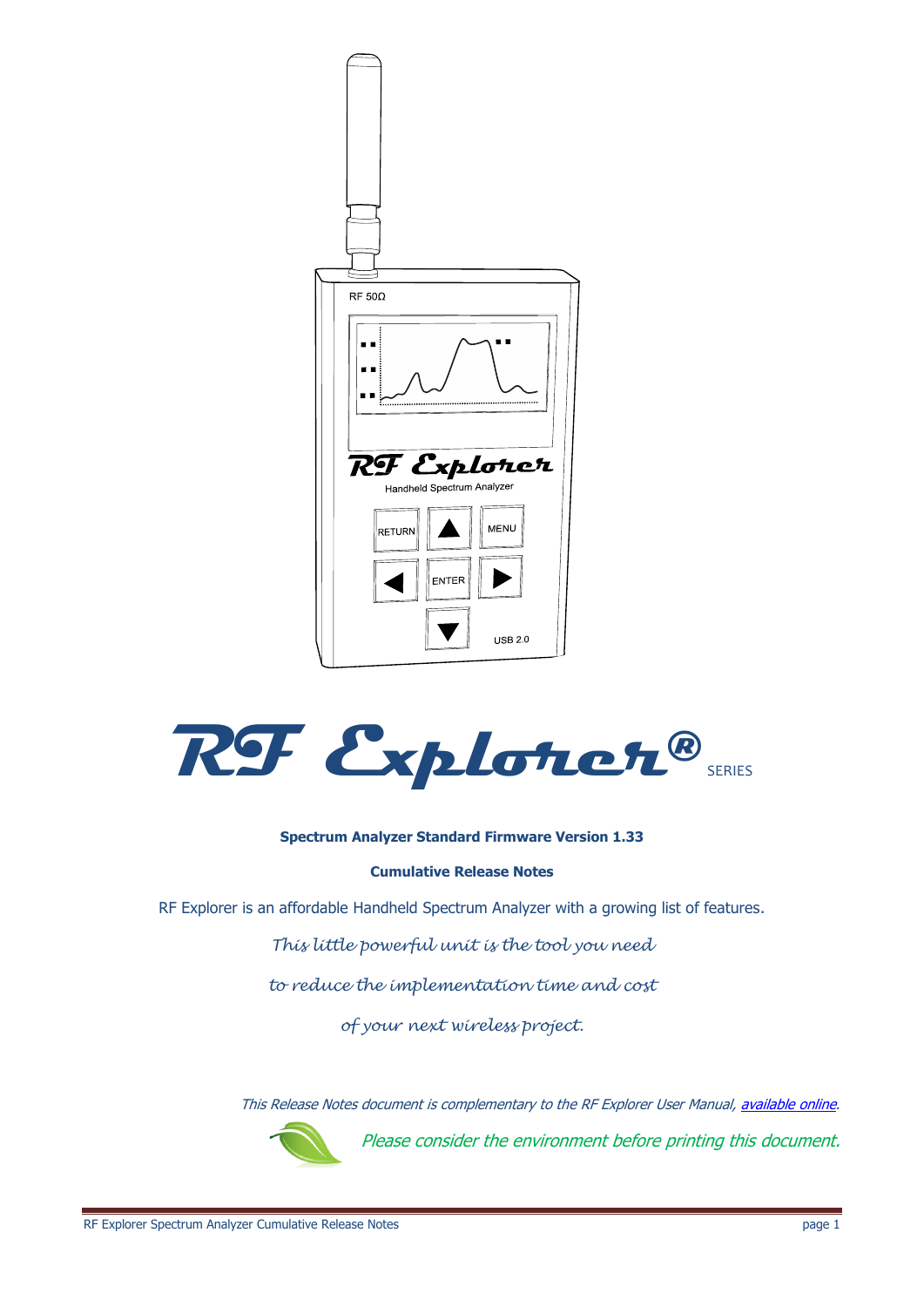



#### **Spectrum Analyzer Standard Firmware Version 1.33**

#### **Cumulative Release Notes**

RF Explorer is an affordable Handheld Spectrum Analyzer with a growing list of features.

*This little powerful unit is the tool you need* 

*to reduce the implementation time and cost* 

*of your next wireless project.*

This Release Notes document is complementary to the RF Explorer User Manual, [available online.](http://www.rf-explorer.com/download)



Please consider the environment before printing this document.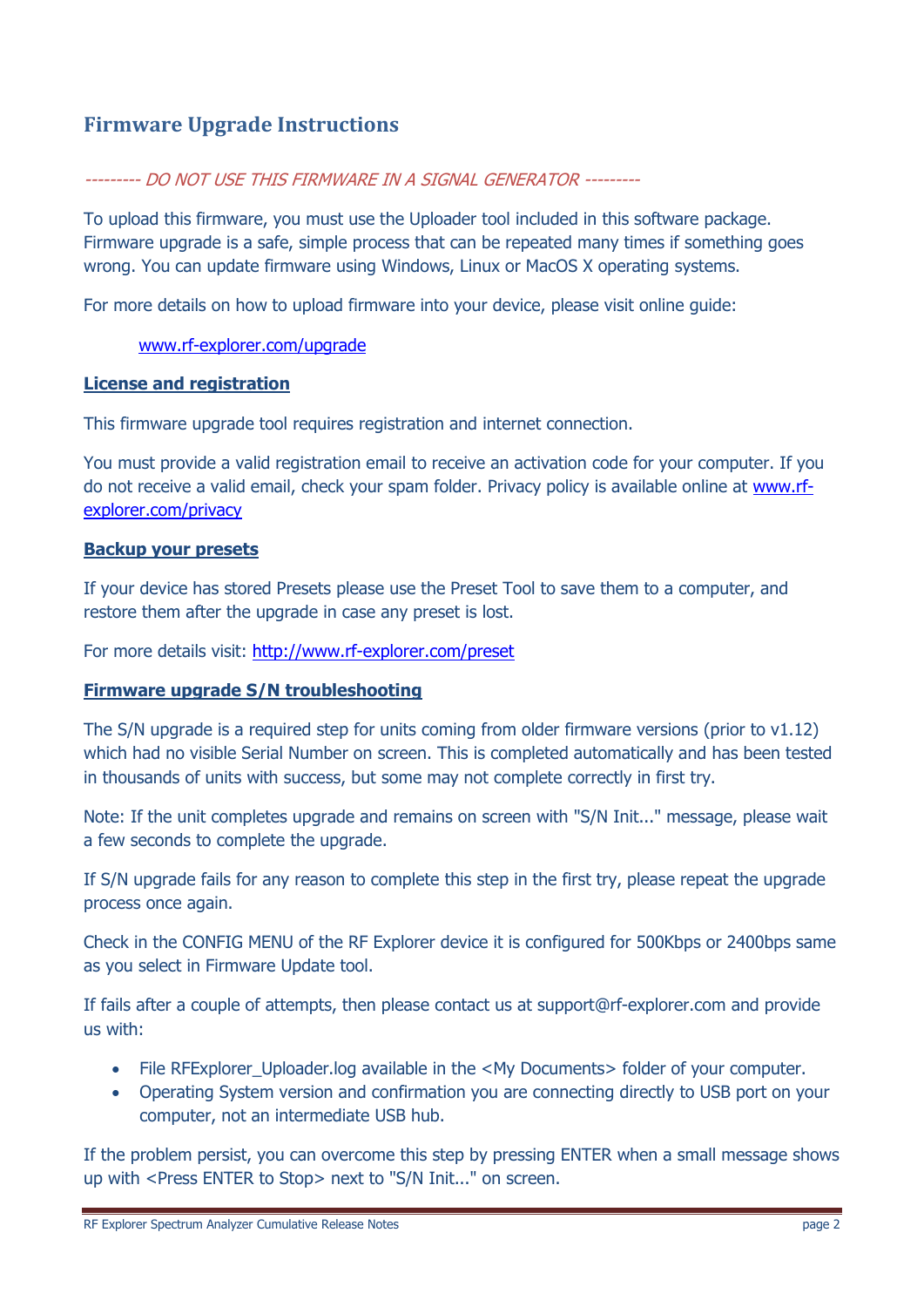### **Firmware Upgrade Instructions**

### --------- DO NOT USE THIS FIRMWARE IN A SIGNAL GENERATOR ---------

To upload this firmware, you must use the Uploader tool included in this software package. Firmware upgrade is a safe, simple process that can be repeated many times if something goes wrong. You can update firmware using Windows, Linux or MacOS X operating systems.

For more details on how to upload firmware into your device, please visit online guide:

#### [www.rf-explorer.com/upgrade](http://www.rf-explorer.com/upgrade)

### **License and registration**

This firmware upgrade tool requires registration and internet connection.

You must provide a valid registration email to receive an activation code for your computer. If you do not receive a valid email, check your spam folder. Privacy policy is available online at [www.rf](http://www.rf-explorer.com/privacy)[explorer.com/privacy](http://www.rf-explorer.com/privacy)

#### **Backup your presets**

If your device has stored Presets please use the Preset Tool to save them to a computer, and restore them after the upgrade in case any preset is lost.

For more details visit:<http://www.rf-explorer.com/preset>

#### **Firmware upgrade S/N troubleshooting**

The S/N upgrade is a required step for units coming from older firmware versions (prior to  $v1.12$ ) which had no visible Serial Number on screen. This is completed automatically and has been tested in thousands of units with success, but some may not complete correctly in first try.

Note: If the unit completes upgrade and remains on screen with "S/N Init..." message, please wait a few seconds to complete the upgrade.

If S/N upgrade fails for any reason to complete this step in the first try, please repeat the upgrade process once again.

Check in the CONFIG MENU of the RF Explorer device it is configured for 500Kbps or 2400bps same as you select in Firmware Update tool.

If fails after a couple of attempts, then please contact us at support@rf-explorer.com and provide us with:

- File RFExplorer\_Uploader.log available in the <My Documents> folder of your computer.
- Operating System version and confirmation you are connecting directly to USB port on your computer, not an intermediate USB hub.

If the problem persist, you can overcome this step by pressing ENTER when a small message shows up with <Press ENTER to Stop> next to "S/N Init..." on screen.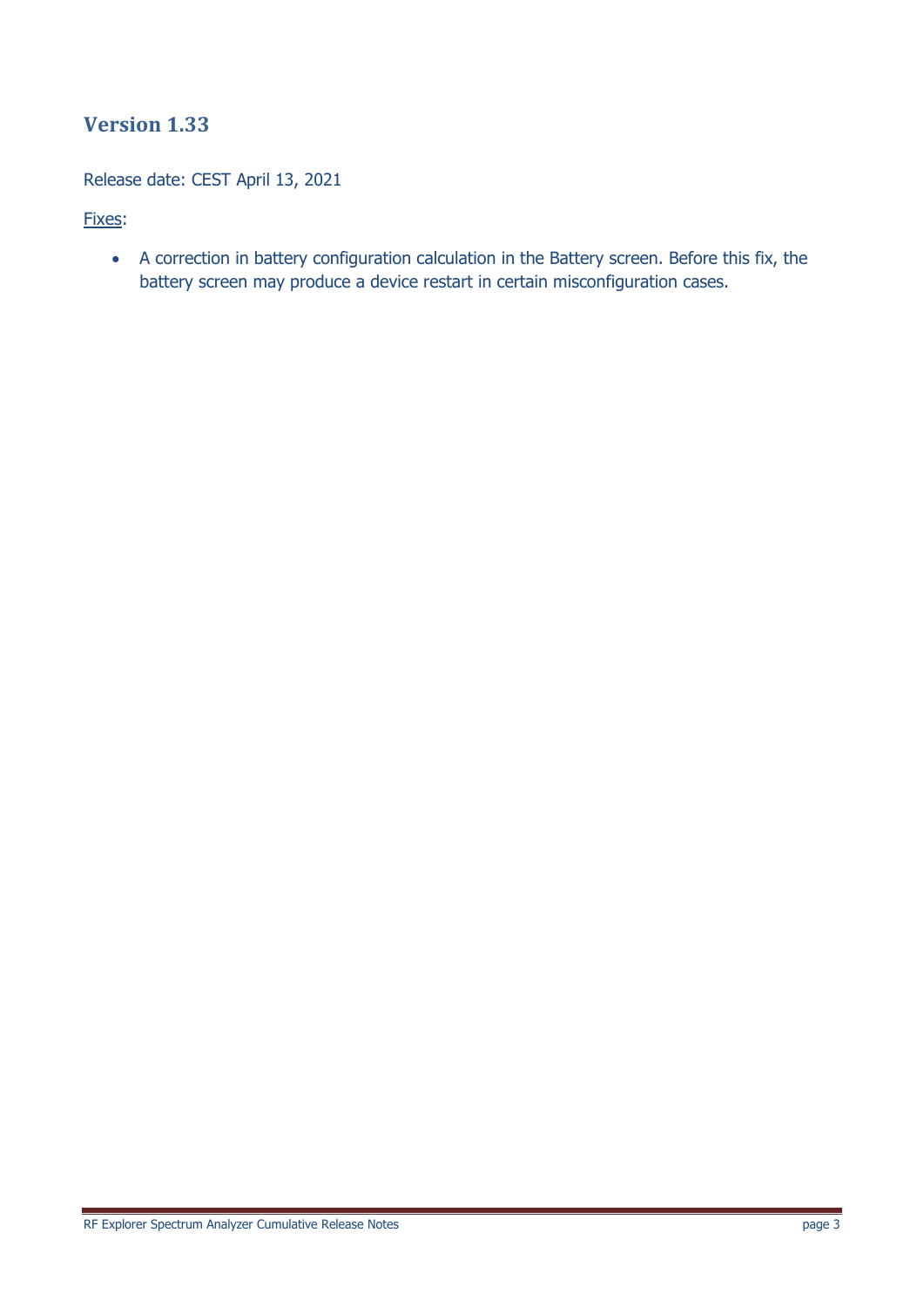Release date: CEST April 13, 2021

Fixes:

 A correction in battery configuration calculation in the Battery screen. Before this fix, the battery screen may produce a device restart in certain misconfiguration cases.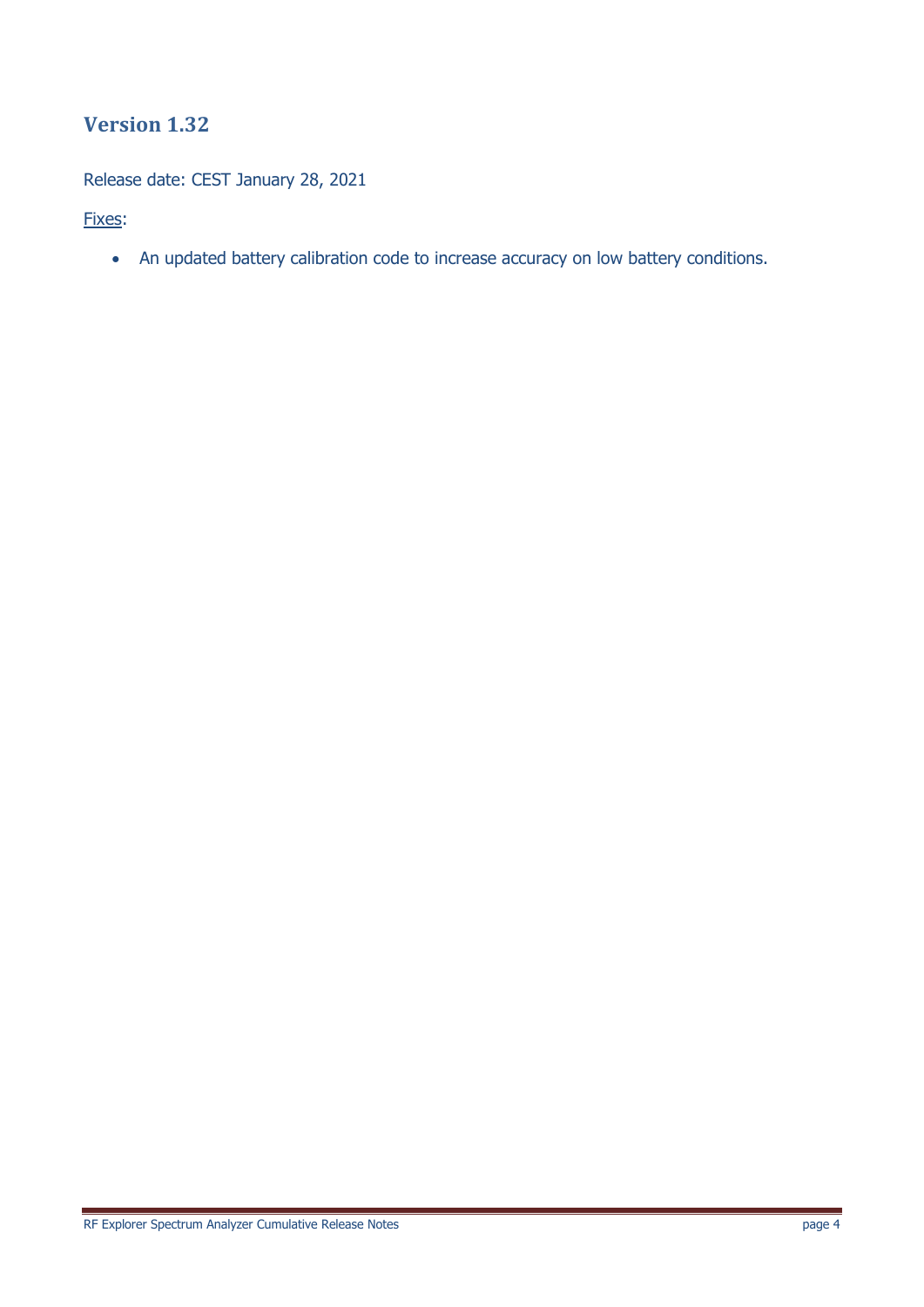Release date: CEST January 28, 2021

Fixes:

An updated battery calibration code to increase accuracy on low battery conditions.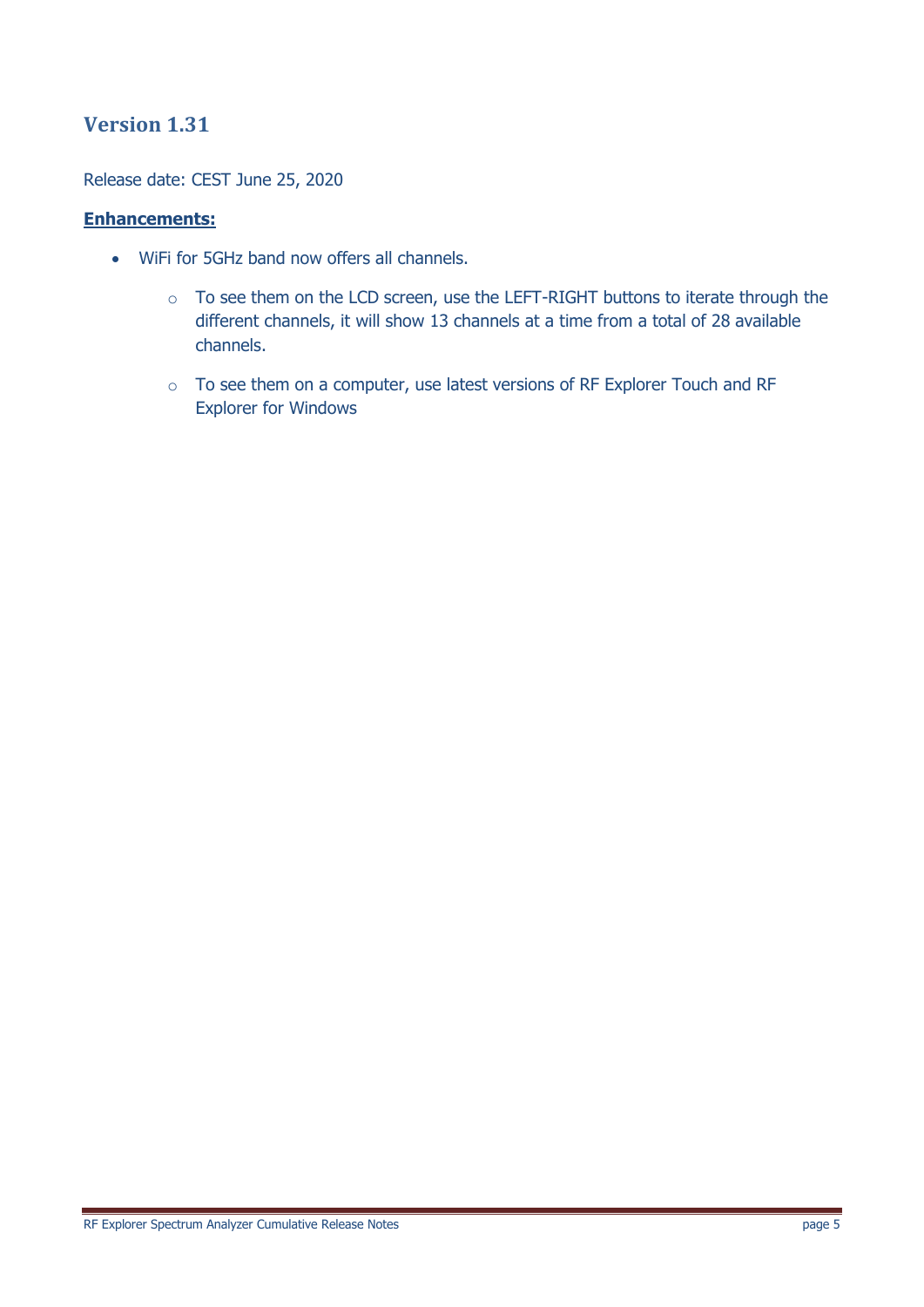Release date: CEST June 25, 2020

### **Enhancements:**

- WiFi for 5GHz band now offers all channels.
	- o To see them on the LCD screen, use the LEFT-RIGHT buttons to iterate through the different channels, it will show 13 channels at a time from a total of 28 available channels.
	- o To see them on a computer, use latest versions of RF Explorer Touch and RF Explorer for Windows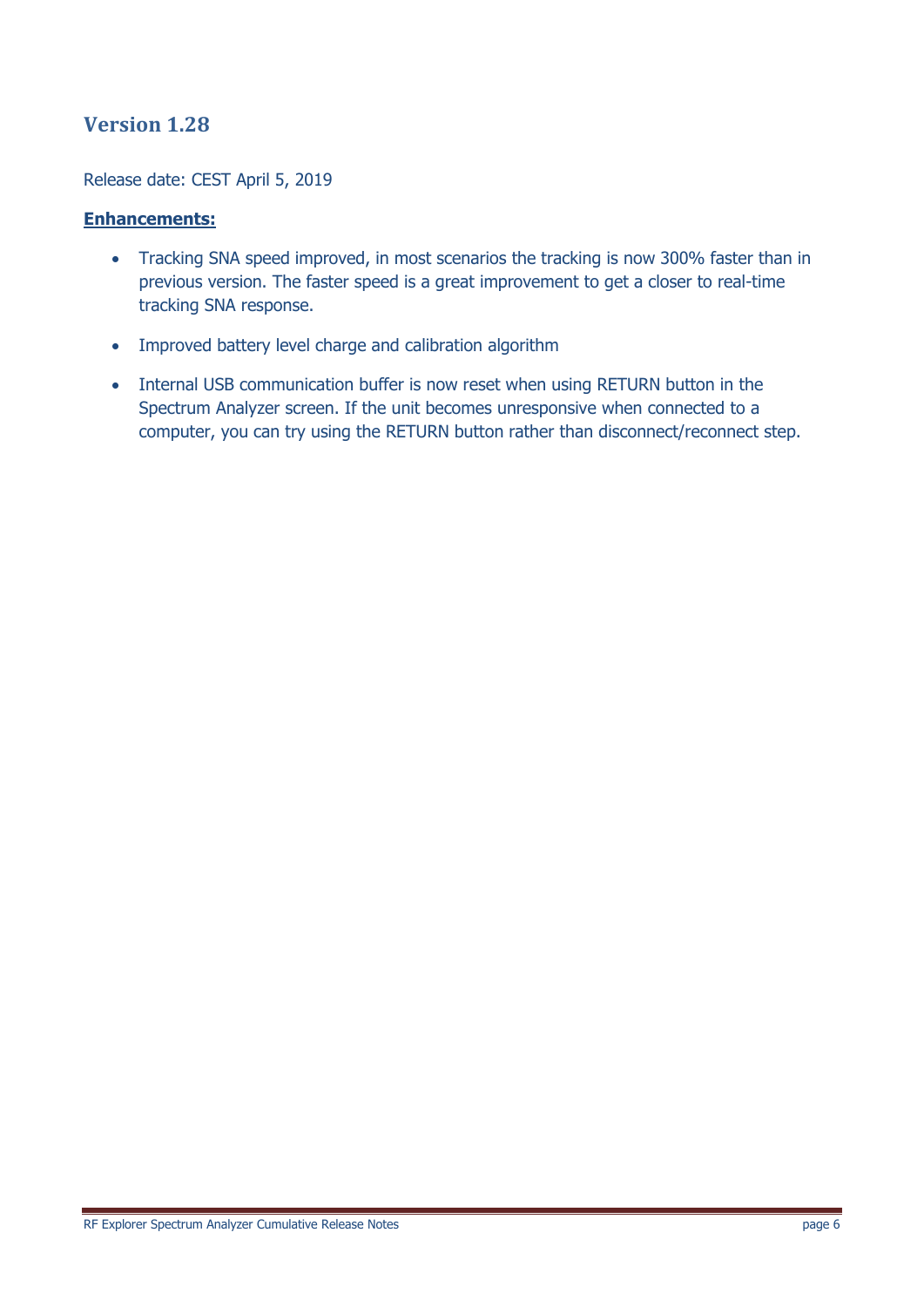Release date: CEST April 5, 2019

### **Enhancements:**

- Tracking SNA speed improved, in most scenarios the tracking is now 300% faster than in previous version. The faster speed is a great improvement to get a closer to real-time tracking SNA response.
- Improved battery level charge and calibration algorithm
- Internal USB communication buffer is now reset when using RETURN button in the Spectrum Analyzer screen. If the unit becomes unresponsive when connected to a computer, you can try using the RETURN button rather than disconnect/reconnect step.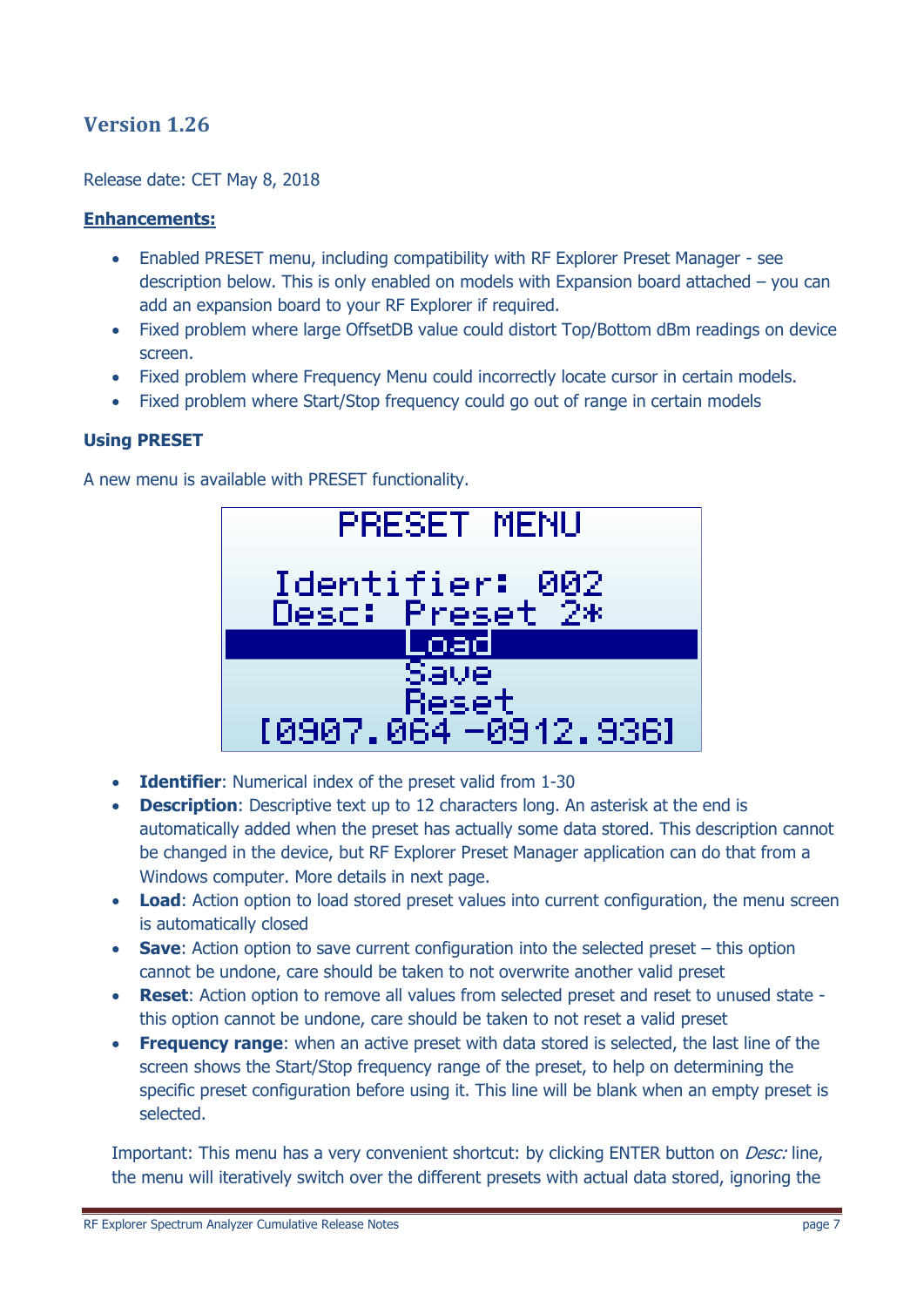Release date: CET May 8, 2018

### **Enhancements:**

- Enabled PRESET menu, including compatibility with RF Explorer Preset Manager see description below. This is only enabled on models with Expansion board attached – you can add an expansion board to your RF Explorer if required.
- Fixed problem where large OffsetDB value could distort Top/Bottom dBm readings on device screen.
- Fixed problem where Frequency Menu could incorrectly locate cursor in certain models.
- Fixed problem where Start/Stop frequency could go out of range in certain models

### **Using PRESET**

A new menu is available with PRESET functionality.



- **Identifier**: Numerical index of the preset valid from 1-30
- **Description**: Descriptive text up to 12 characters long. An asterisk at the end is automatically added when the preset has actually some data stored. This description cannot be changed in the device, but RF Explorer Preset Manager application can do that from a Windows computer. More details in next page.
- Load: Action option to load stored preset values into current configuration, the menu screen is automatically closed
- **Save**: Action option to save current configuration into the selected preset this option cannot be undone, care should be taken to not overwrite another valid preset
- **Reset**: Action option to remove all values from selected preset and reset to unused state this option cannot be undone, care should be taken to not reset a valid preset
- **Frequency range**: when an active preset with data stored is selected, the last line of the screen shows the Start/Stop frequency range of the preset, to help on determining the specific preset configuration before using it. This line will be blank when an empty preset is selected.

Important: This menu has a very convenient shortcut: by clicking ENTER button on *Desc:* line, the menu will iteratively switch over the different presets with actual data stored, ignoring the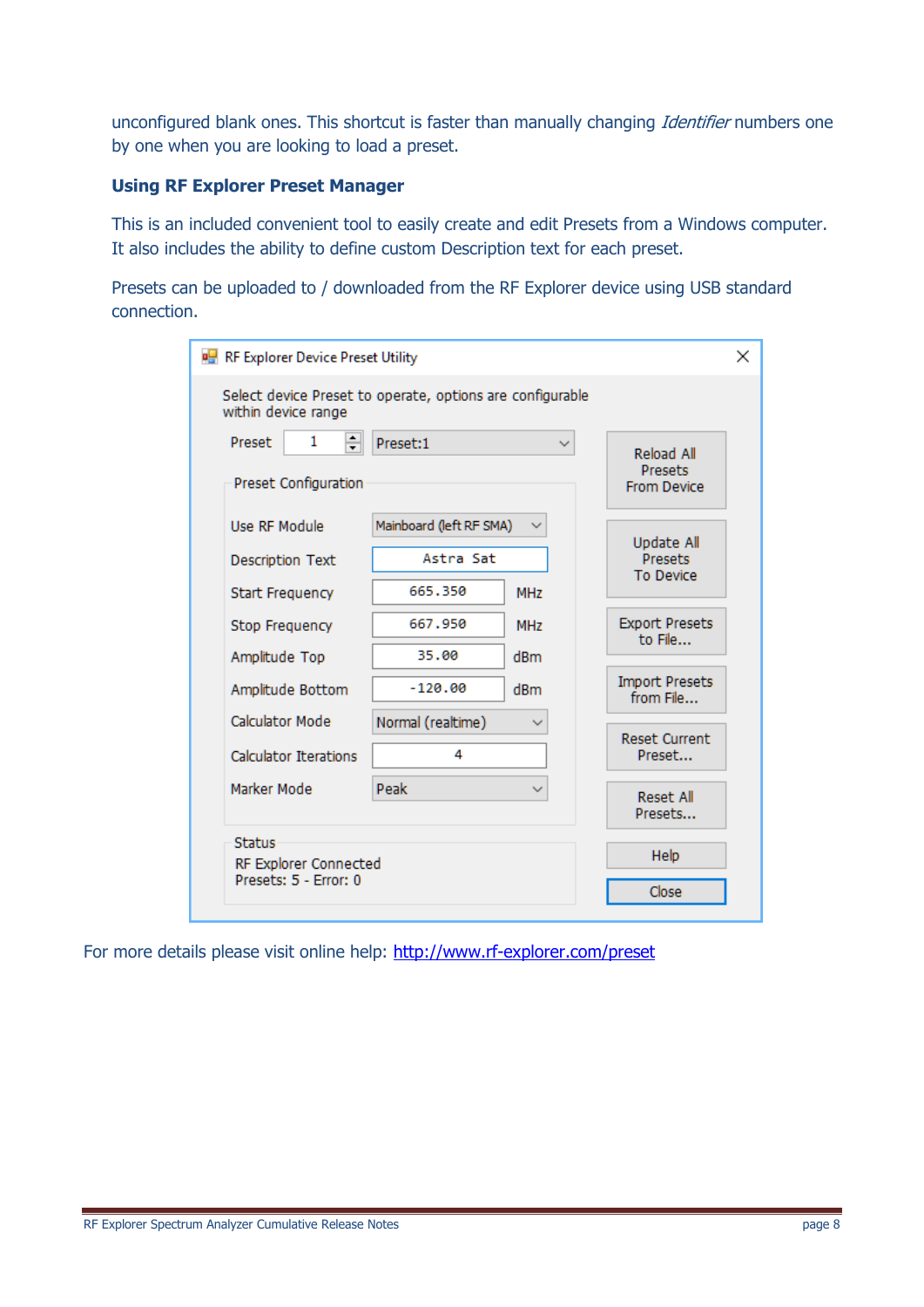unconfigured blank ones. This shortcut is faster than manually changing Identifier numbers one by one when you are looking to load a preset.

### **Using RF Explorer Preset Manager**

This is an included convenient tool to easily create and edit Presets from a Windows computer. It also includes the ability to define custom Description text for each preset.

Presets can be uploaded to / downloaded from the RF Explorer device using USB standard connection.

| RF Explorer Device Preset Utility                                                |                                                 |                   |                                                    |  |
|----------------------------------------------------------------------------------|-------------------------------------------------|-------------------|----------------------------------------------------|--|
| Select device Preset to operate, options are configurable<br>within device range |                                                 |                   |                                                    |  |
| $\div$<br>1<br><b>Preset</b><br>Preset Configuration                             | Preset:1                                        |                   | Reload All<br><b>Presets</b><br><b>From Device</b> |  |
| Use RF Module<br><b>Description Text</b><br><b>Start Frequency</b>               | Mainboard (left RF SMA)<br>Astra Sat<br>665.350 | <b>MHz</b>        | Update All<br>Presets<br><b>To Device</b>          |  |
| Stop Frequency<br>Amplitude Top                                                  | 667.950<br>35.00                                | <b>MHz</b><br>dBm | <b>Export Presets</b><br>to File                   |  |
| Amplitude Bottom<br><b>Calculator Mode</b>                                       | $-120.00$                                       | dBm               | <b>Import Presets</b><br>from File                 |  |
| <b>Calculator Iterations</b>                                                     | Normal (realtime)<br>4                          |                   | <b>Reset Current</b><br>Preset                     |  |
| Marker Mode                                                                      | Peak                                            |                   | <b>Reset All</b><br>Presets                        |  |
| <b>Status</b><br>RF Explorer Connected<br>Presets: 5 - Error: 0                  |                                                 |                   | Help<br>Close                                      |  |
|                                                                                  |                                                 |                   |                                                    |  |

For more details please visit online help:<http://www.rf-explorer.com/preset>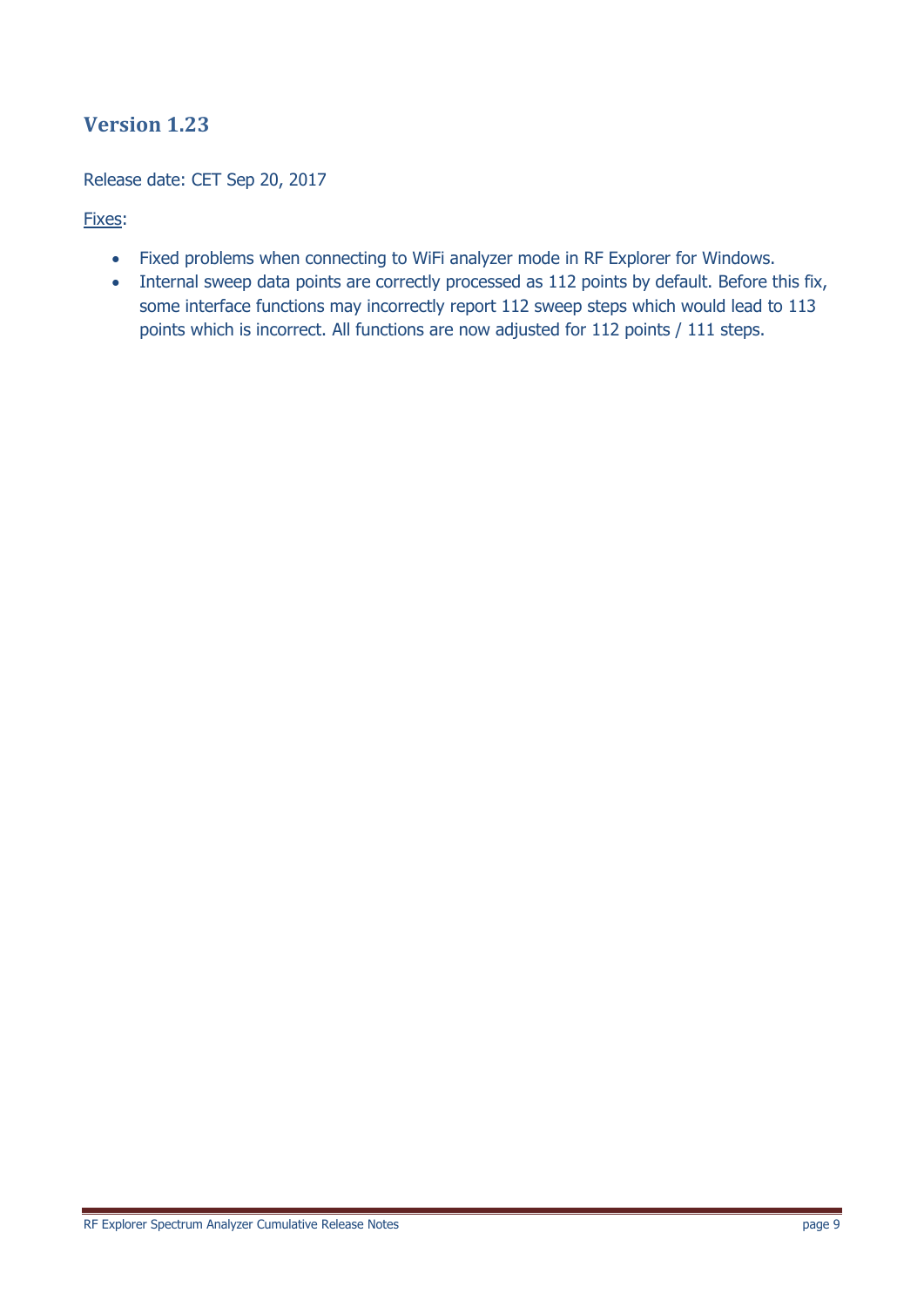### Release date: CET Sep 20, 2017

### Fixes:

- Fixed problems when connecting to WiFi analyzer mode in RF Explorer for Windows.
- Internal sweep data points are correctly processed as 112 points by default. Before this fix, some interface functions may incorrectly report 112 sweep steps which would lead to 113 points which is incorrect. All functions are now adjusted for 112 points / 111 steps.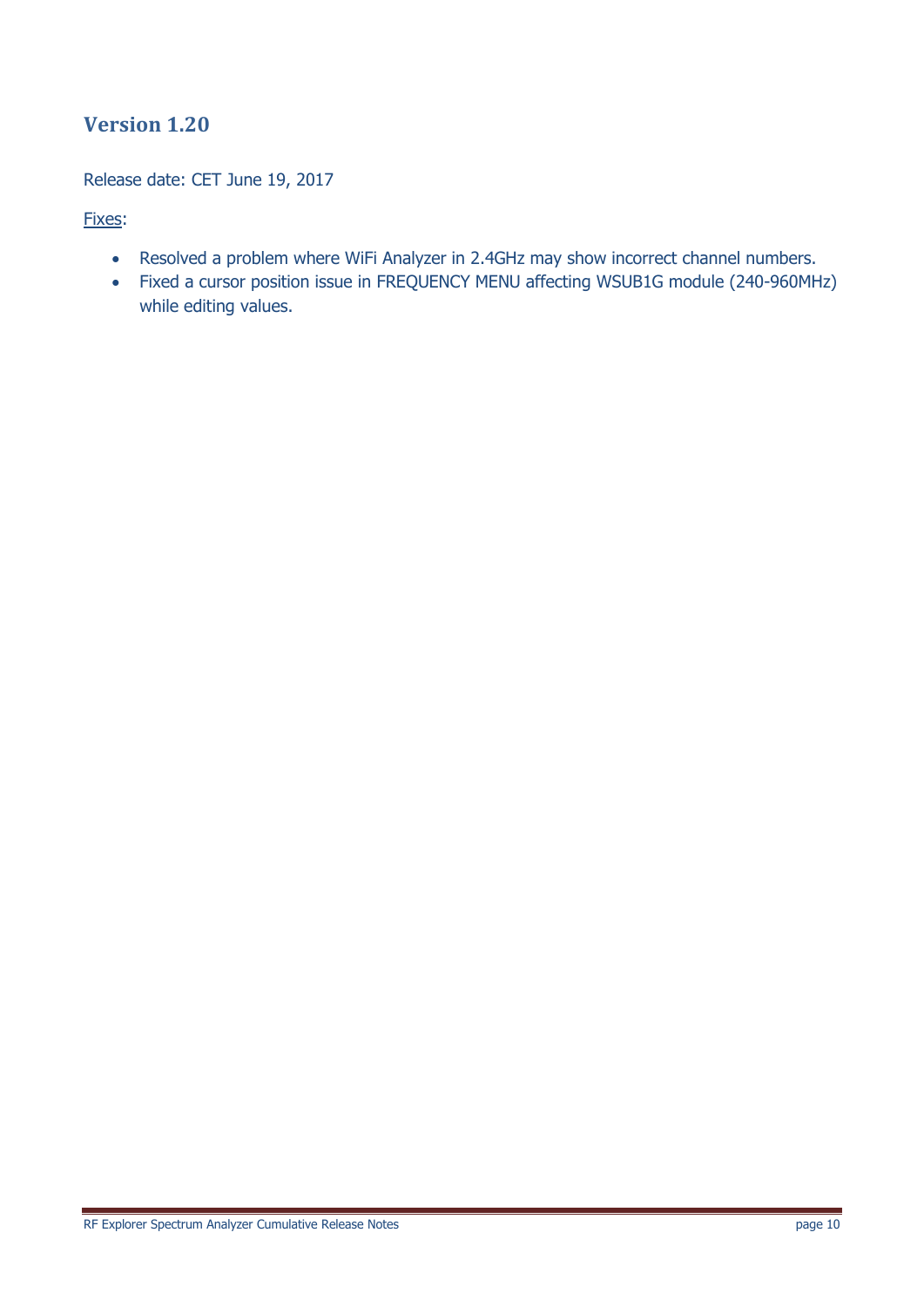Release date: CET June 19, 2017

Fixes:

- Resolved a problem where WiFi Analyzer in 2.4GHz may show incorrect channel numbers.
- Fixed a cursor position issue in FREQUENCY MENU affecting WSUB1G module (240-960MHz) while editing values.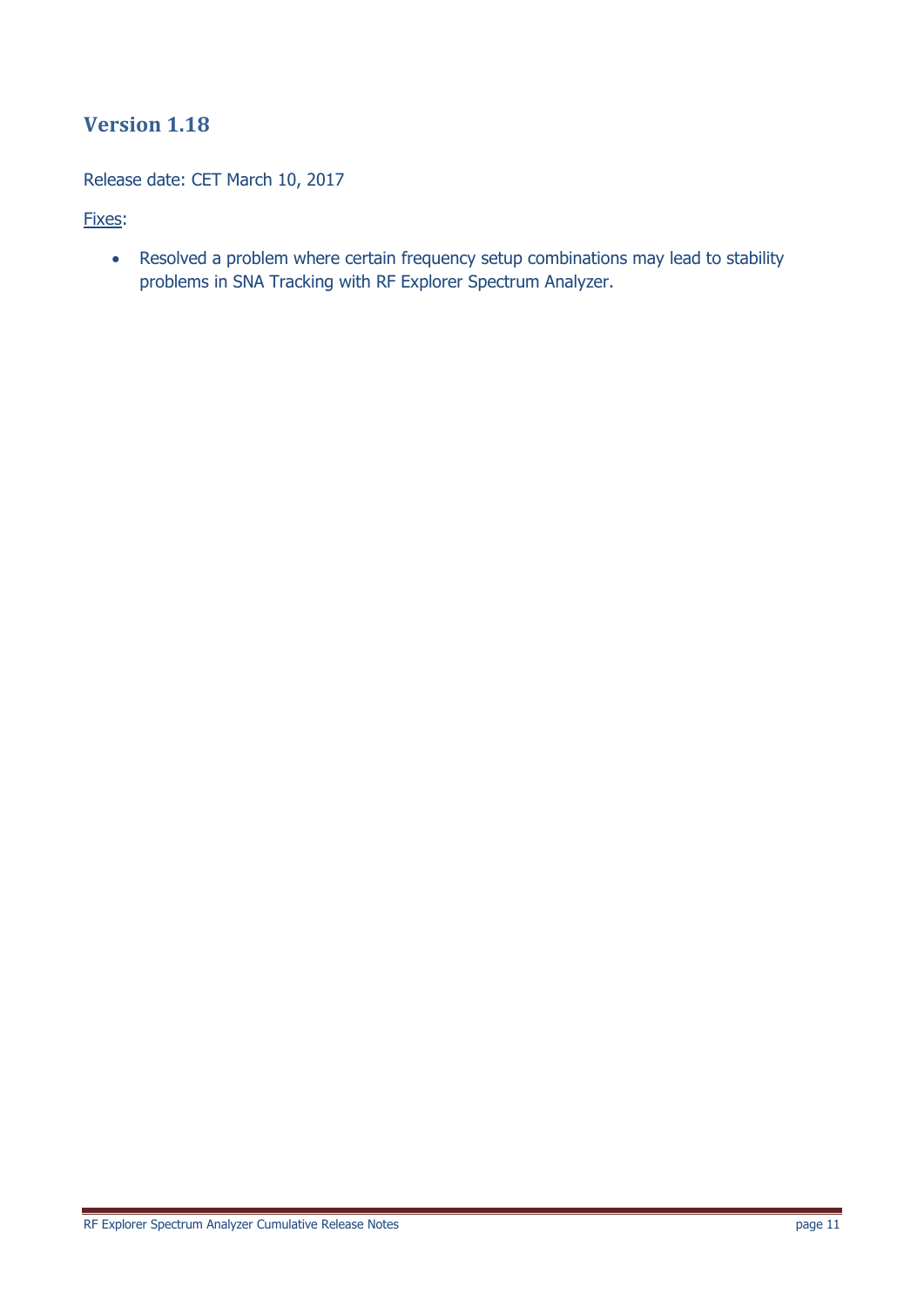Release date: CET March 10, 2017

Fixes:

 Resolved a problem where certain frequency setup combinations may lead to stability problems in SNA Tracking with RF Explorer Spectrum Analyzer.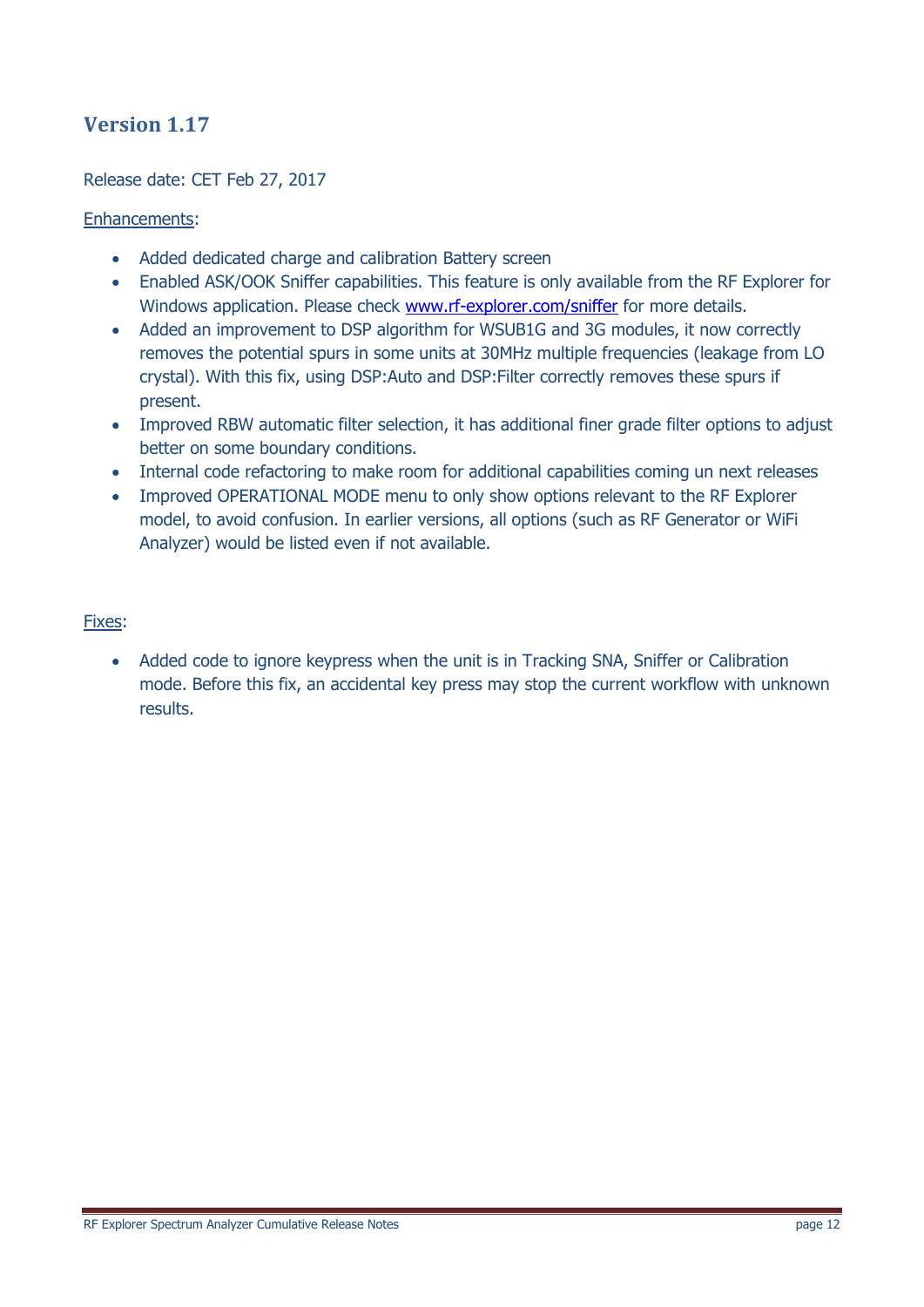### Release date: CET Feb 27, 2017

### Enhancements:

- Added dedicated charge and calibration Battery screen
- Enabled ASK/OOK Sniffer capabilities. This feature is only available from the RF Explorer for Windows application. Please check [www.rf-explorer.com/sniffer](http://www.rf-explorer.com/sniffer) for more details.
- Added an improvement to DSP algorithm for WSUB1G and 3G modules, it now correctly removes the potential spurs in some units at 30MHz multiple frequencies (leakage from LO crystal). With this fix, using DSP:Auto and DSP:Filter correctly removes these spurs if present.
- Improved RBW automatic filter selection, it has additional finer grade filter options to adjust better on some boundary conditions.
- Internal code refactoring to make room for additional capabilities coming un next releases
- Improved OPERATIONAL MODE menu to only show options relevant to the RF Explorer model, to avoid confusion. In earlier versions, all options (such as RF Generator or WiFi Analyzer) would be listed even if not available.

#### Fixes:

• Added code to ignore keypress when the unit is in Tracking SNA, Sniffer or Calibration mode. Before this fix, an accidental key press may stop the current workflow with unknown results.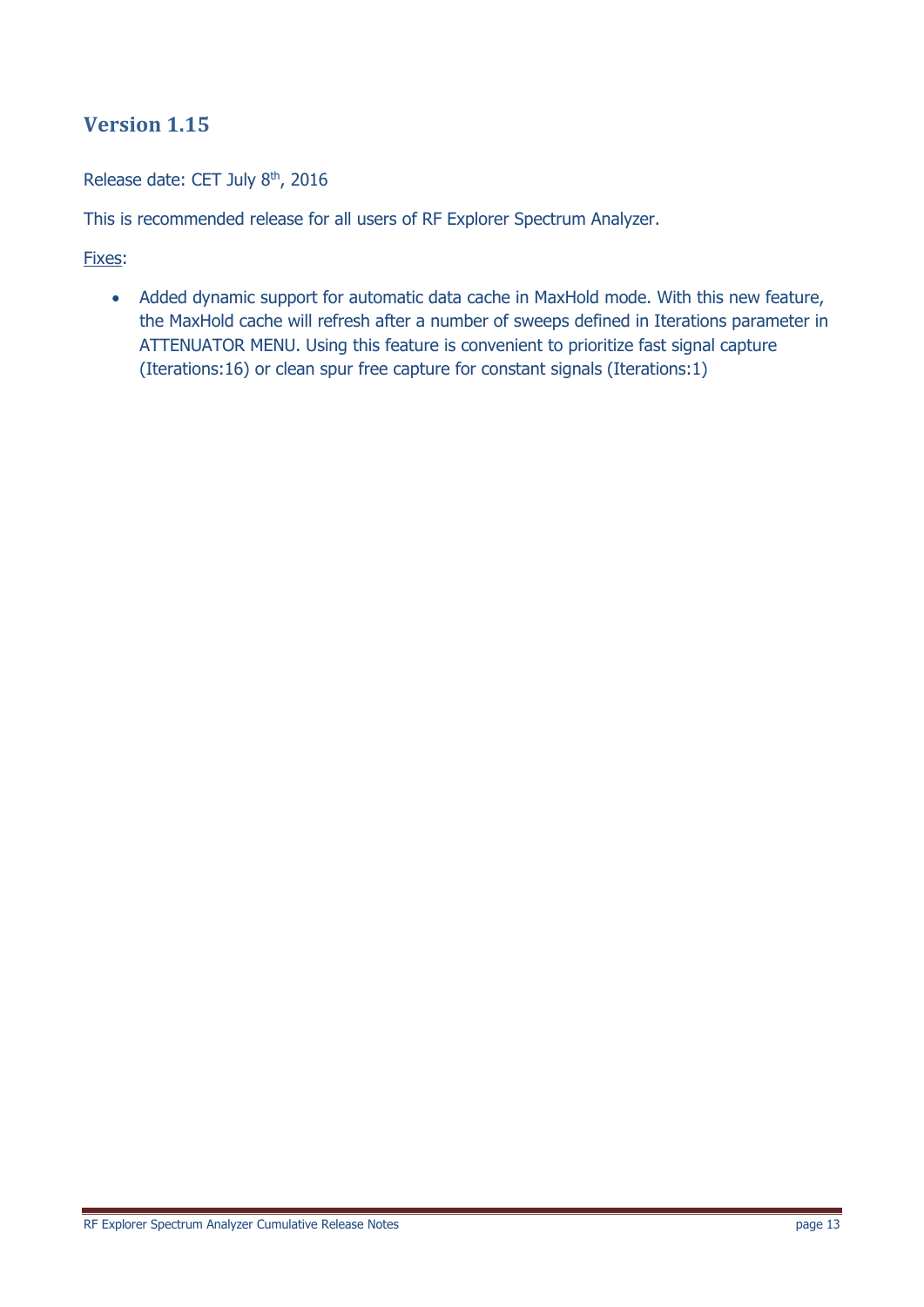Release date: CET July 8<sup>th</sup>, 2016

This is recommended release for all users of RF Explorer Spectrum Analyzer.

Fixes:

• Added dynamic support for automatic data cache in MaxHold mode. With this new feature, the MaxHold cache will refresh after a number of sweeps defined in Iterations parameter in ATTENUATOR MENU. Using this feature is convenient to prioritize fast signal capture (Iterations:16) or clean spur free capture for constant signals (Iterations:1)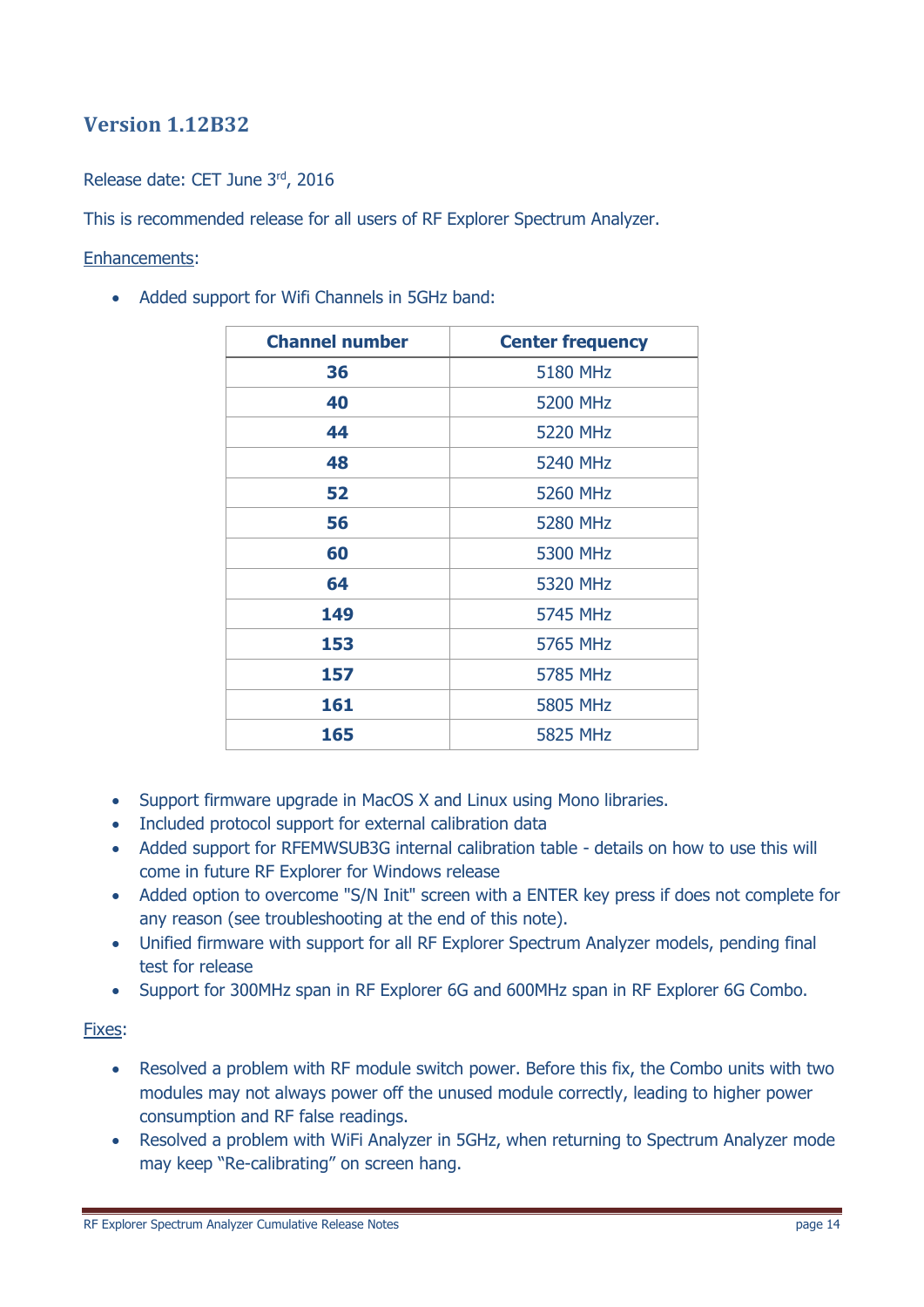### **Version 1.12B32**

### Release date: CET June 3rd, 2016

This is recommended release for all users of RF Explorer Spectrum Analyzer.

#### Enhancements:

Added support for Wifi Channels in 5GHz band:

| <b>Channel number</b> | <b>Center frequency</b> |  |
|-----------------------|-------------------------|--|
| 36                    | <b>5180 MHz</b>         |  |
| 40                    | <b>5200 MHz</b>         |  |
| 44                    | <b>5220 MHz</b>         |  |
| 48                    | 5240 MHz                |  |
| 52                    | <b>5260 MHz</b>         |  |
| 56                    | <b>5280 MHz</b>         |  |
| 60                    | 5300 MHz                |  |
| 64                    | 5320 MHz                |  |
| 149                   | <b>5745 MHz</b>         |  |
| 153                   | <b>5765 MHz</b>         |  |
| 157                   | 5785 MHz                |  |
| 161                   | <b>5805 MHz</b>         |  |
| 165                   | <b>5825 MHz</b>         |  |

- Support firmware upgrade in MacOS X and Linux using Mono libraries.
- Included protocol support for external calibration data
- Added support for RFEMWSUB3G internal calibration table details on how to use this will come in future RF Explorer for Windows release
- Added option to overcome "S/N Init" screen with a ENTER key press if does not complete for any reason (see troubleshooting at the end of this note).
- Unified firmware with support for all RF Explorer Spectrum Analyzer models, pending final test for release
- Support for 300MHz span in RF Explorer 6G and 600MHz span in RF Explorer 6G Combo.

#### Fixes:

- Resolved a problem with RF module switch power. Before this fix, the Combo units with two modules may not always power off the unused module correctly, leading to higher power consumption and RF false readings.
- Resolved a problem with WiFi Analyzer in 5GHz, when returning to Spectrum Analyzer mode may keep "Re-calibrating" on screen hang.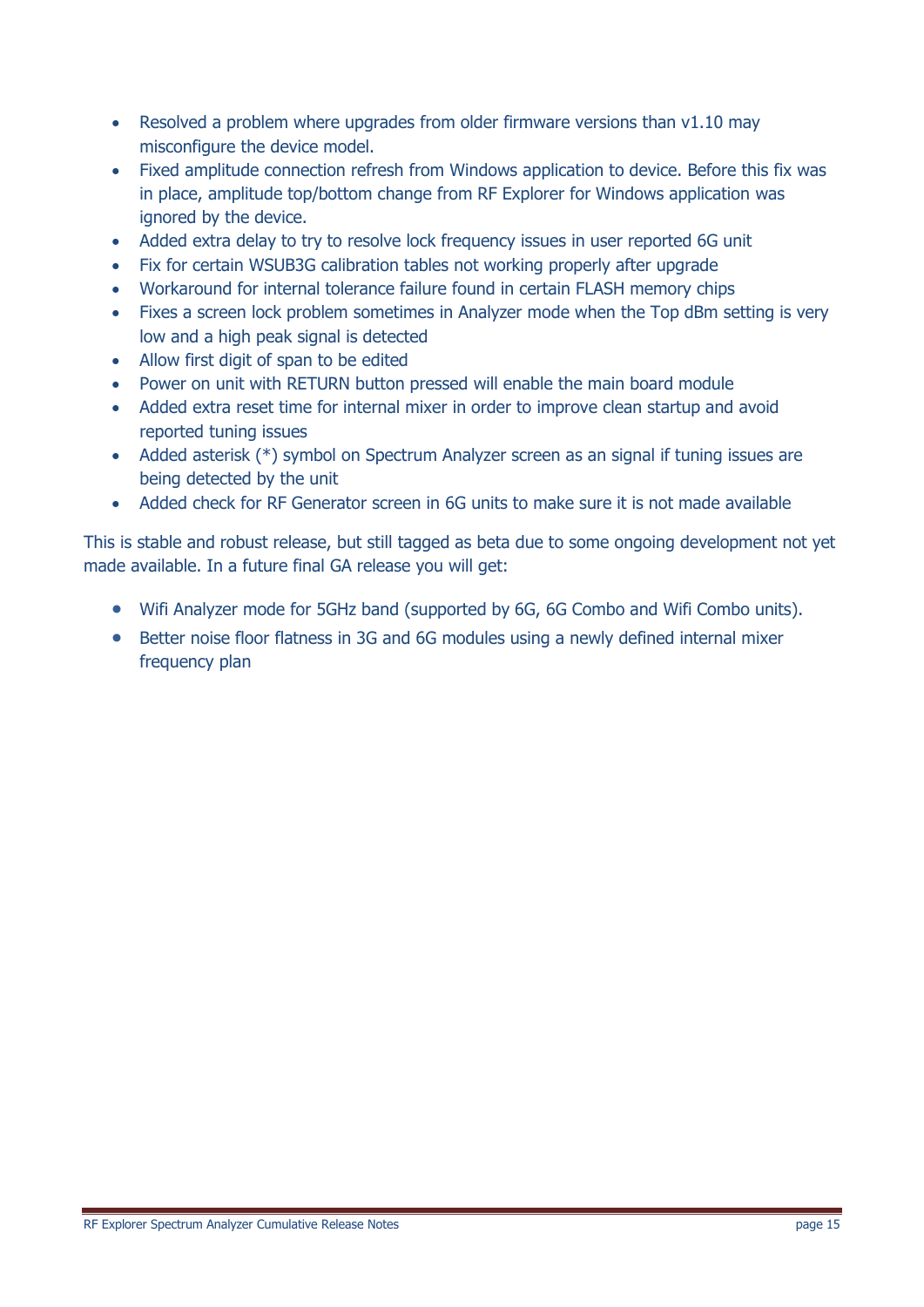- Resolved a problem where upgrades from older firmware versions than v1.10 may misconfigure the device model.
- Fixed amplitude connection refresh from Windows application to device. Before this fix was in place, amplitude top/bottom change from RF Explorer for Windows application was ignored by the device.
- Added extra delay to try to resolve lock frequency issues in user reported 6G unit
- Fix for certain WSUB3G calibration tables not working properly after upgrade
- Workaround for internal tolerance failure found in certain FLASH memory chips
- Fixes a screen lock problem sometimes in Analyzer mode when the Top dBm setting is very low and a high peak signal is detected
- Allow first digit of span to be edited
- Power on unit with RETURN button pressed will enable the main board module
- Added extra reset time for internal mixer in order to improve clean startup and avoid reported tuning issues
- Added asterisk (\*) symbol on Spectrum Analyzer screen as an signal if tuning issues are being detected by the unit
- Added check for RF Generator screen in 6G units to make sure it is not made available

This is stable and robust release, but still tagged as beta due to some ongoing development not yet made available. In a future final GA release you will get:

- Wifi Analyzer mode for 5GHz band (supported by 6G, 6G Combo and Wifi Combo units).
- Better noise floor flatness in 3G and 6G modules using a newly defined internal mixer frequency plan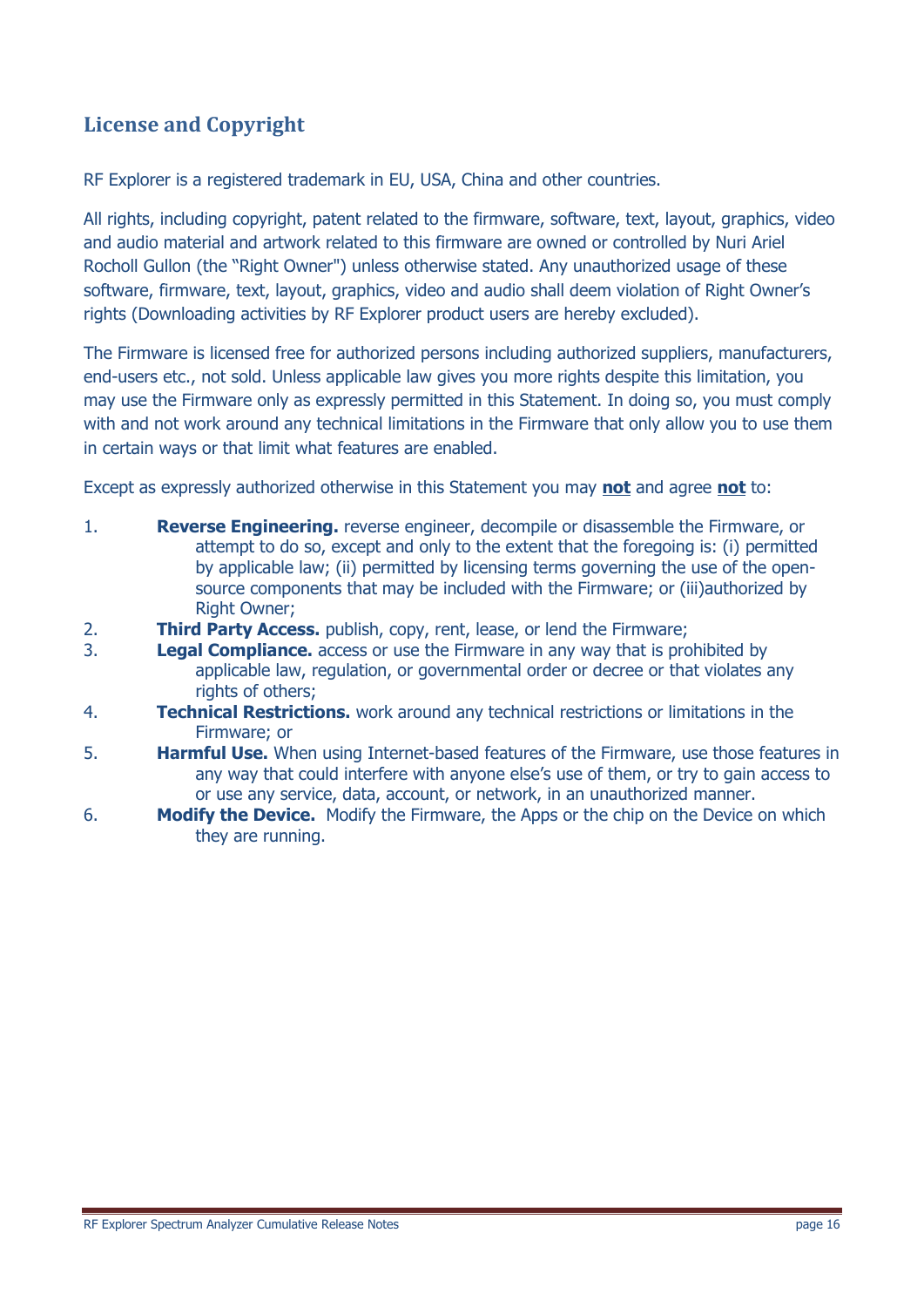# **License and Copyright**

RF Explorer is a registered trademark in EU, USA, China and other countries.

All rights, including copyright, patent related to the firmware, software, text, layout, graphics, video and audio material and artwork related to this firmware are owned or controlled by Nuri Ariel Rocholl Gullon (the "Right Owner") unless otherwise stated. Any unauthorized usage of these software, firmware, text, layout, graphics, video and audio shall deem violation of Right Owner's rights (Downloading activities by RF Explorer product users are hereby excluded).

The Firmware is licensed free for authorized persons including authorized suppliers, manufacturers, end-users etc., not sold. Unless applicable law gives you more rights despite this limitation, you may use the Firmware only as expressly permitted in this Statement. In doing so, you must comply with and not work around any technical limitations in the Firmware that only allow you to use them in certain ways or that limit what features are enabled.

Except as expressly authorized otherwise in this Statement you may **not** and agree **not** to:

- 1. **Reverse Engineering.** reverse engineer, decompile or disassemble the Firmware, or attempt to do so, except and only to the extent that the foregoing is: (i) permitted by applicable law; (ii) permitted by licensing terms governing the use of the opensource components that may be included with the Firmware; or (iii)authorized by Right Owner;
- 2. **Third Party Access.** publish, copy, rent, lease, or lend the Firmware;
- 3. **Legal Compliance.** access or use the Firmware in any way that is prohibited by applicable law, regulation, or governmental order or decree or that violates any rights of others;
- 4. **Technical Restrictions.** work around any technical restrictions or limitations in the Firmware; or
- 5. **Harmful Use.** When using Internet-based features of the Firmware, use those features in any way that could interfere with anyone else's use of them, or try to gain access to or use any service, data, account, or network, in an unauthorized manner.
- 6. **Modify the Device.** Modify the Firmware, the Apps or the chip on the Device on which they are running.